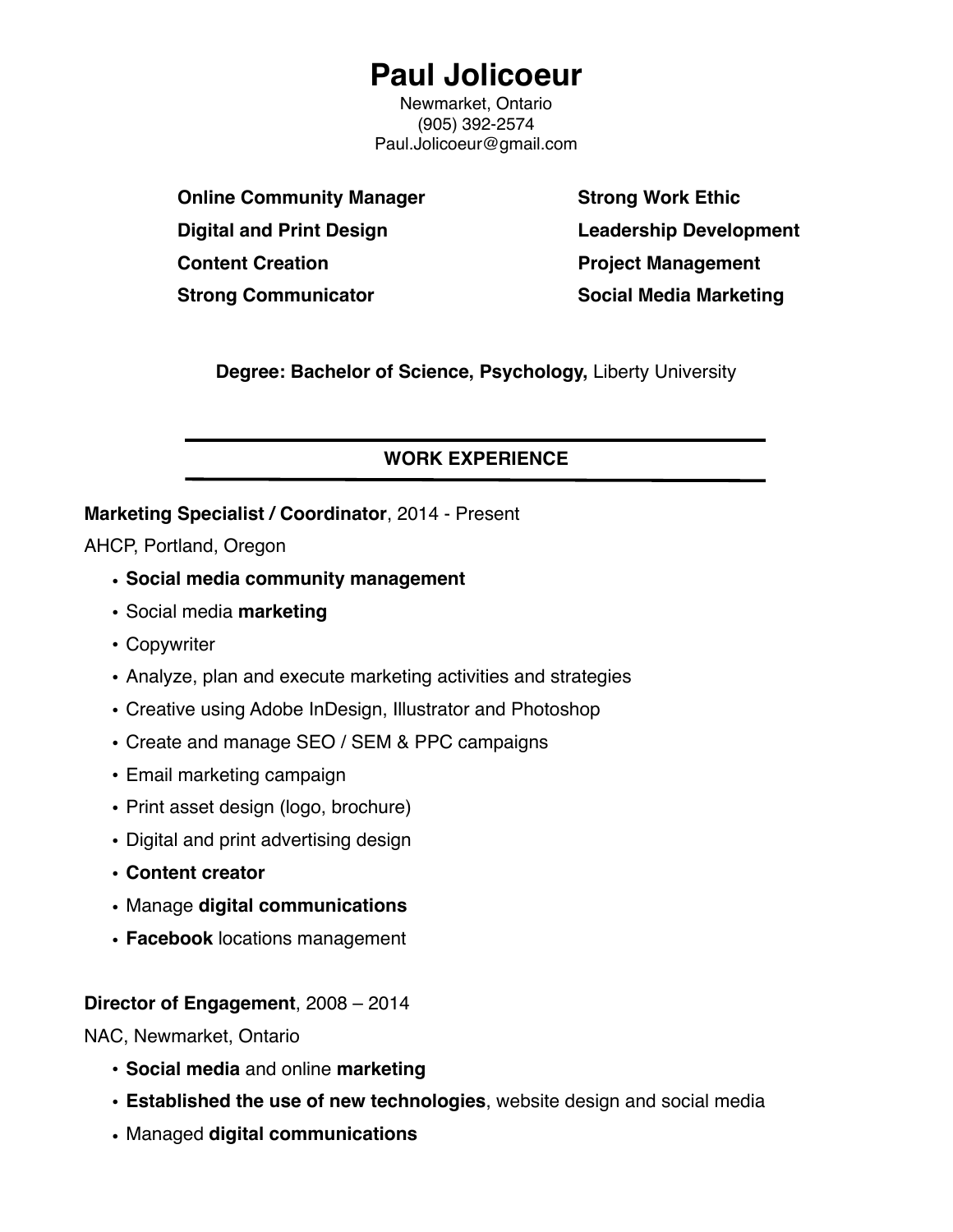# **Paul Jolicoeur**

Newmarket, Ontario (905) 392-2574 Paul.Jolicoeur@gmail.com

**Online Community Manager Digital and Print Design Content Creation Strong Communicator**

**Strong Work Ethic Leadership Development Project Management Social Media Marketing**

**Degree: Bachelor of Science, Psychology,** Liberty University

### **WORK EXPERIENCE**

#### **Marketing Specialist / Coordinator**, 2014 - Present

AHCP, Portland, Oregon

- **Social media community management**
- Social media **marketing**
- Copywriter
- Analyze, plan and execute marketing activities and strategies
- Creative using Adobe InDesign, Illustrator and Photoshop
- Create and manage SEO / SEM & PPC campaigns
- Email marketing campaign
- Print asset design (logo, brochure)
- Digital and print advertising design
- **Content creator**
- Manage **digital communications**
- **Facebook** locations management

#### **Director of Engagement**, 2008 – 2014

NAC, Newmarket, Ontario

- **Social media** and online **marketing**
- **Established the use of new technologies**, website design and social media
- Managed **digital communications**